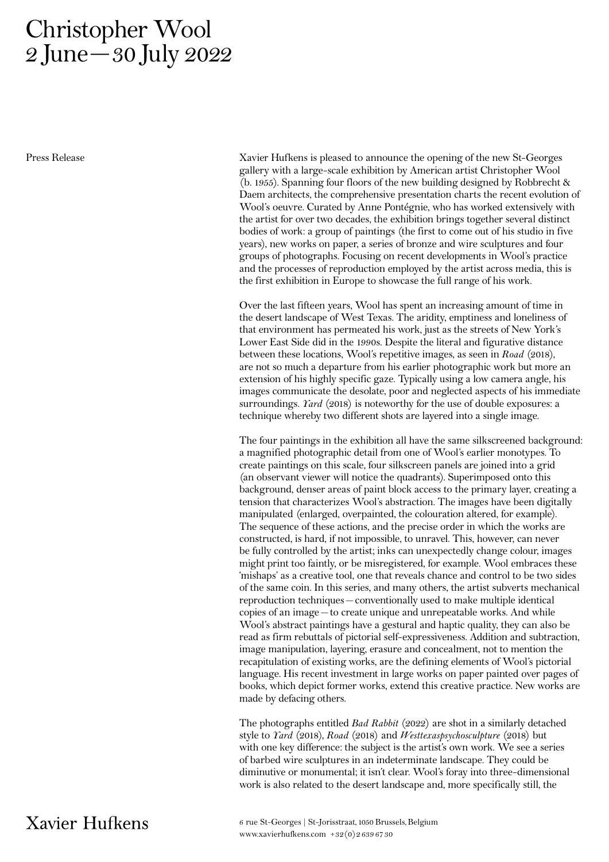## Christopher Wool 2 June—30 July 2022

Press Release

Xavier Hufkens is pleased to announce the opening of the new St-Georges gallery with a large-scale exhibition by American artist Christopher Wool (b. 1955). Spanning four floors of the new building designed by Robbrecht & Daem architects, the comprehensive presentation charts the recent evolution of Wool's oeuvre. Curated by Anne Pontégnie, who has worked extensively with the artist for over two decades, the exhibition brings together several distinct bodies of work: a group of paintings (the first to come out of his studio in five years), new works on paper, a series of bronze and wire sculptures and four groups of photographs. Focusing on recent developments in Wool's practice and the processes of reproduction employed by the artist across media, this is the first exhibition in Europe to showcase the full range of his work.

Over the last fifteen years, Wool has spent an increasing amount of time in the desert landscape of West Texas. The aridity, emptiness and loneliness of that environment has permeated his work, just as the streets of New York's Lower East Side did in the 1990s. Despite the literal and figurative distance between these locations, Wool's repetitive images, as seen in Road (2018), are not so much a departure from his earlier photographic work but more an extension of his highly specific gaze. Typically using a low camera angle, his images communicate the desolate, poor and neglected aspects of his immediate surroundings. Yard (2018) is noteworthy for the use of double exposures: a technique whereby two different shots are layered into a single image.

The four paintings in the exhibition all have the same silkscreened background: a magnified photographic detail from one of Wool's earlier monotypes. To create paintings on this scale, four silkscreen panels are joined into a grid (an observant viewer will notice the quadrants). Superimposed onto this background, denser areas of paint block access to the primary layer, creating a tension that characterizes Wool's abstraction. The images have been digitally manipulated (enlarged, overpainted, the colouration altered, for example). The sequence of these actions, and the precise order in which the works are constructed, is hard, if not impossible, to unravel. This, however, can never be fully controlled by the artist; inks can unexpectedly change colour, images might print too faintly, or be misregistered, for example. Wool embraces these 'mishaps' as a creative tool, one that reveals chance and control to be two sides of the same coin. In this series, and many others, the artist subverts mechanical reproduction techniques–conventionally used to make multiple identical copies of an image–to create unique and unrepeatable works. And while Wool's abstract paintings have a gestural and haptic quality, they can also be read as firm rebuttals of pictorial self-expressiveness. Addition and subtraction, image manipulation, layering, erasure and concealment, not to mention the recapitulation of existing works, are the defining elements of Wool's pictorial language. His recent investment in large works on paper painted over pages of books, which depict former works, extend this creative practice. New works are made by defacing others.

The photographs entitled Bad Rabbit (2022) are shot in a similarly detached style to *Yard* (2018), Road (2018) and *Westtexaspsychosculpture* (2018) but with one key difference: the subject is the artist's own work. We see a series of barbed wire sculptures in an indeterminate landscape. They could be diminutive or monumental; it isn't clear. Wool's foray into three-dimensional work is also related to the desert landscape and, more specifically still, the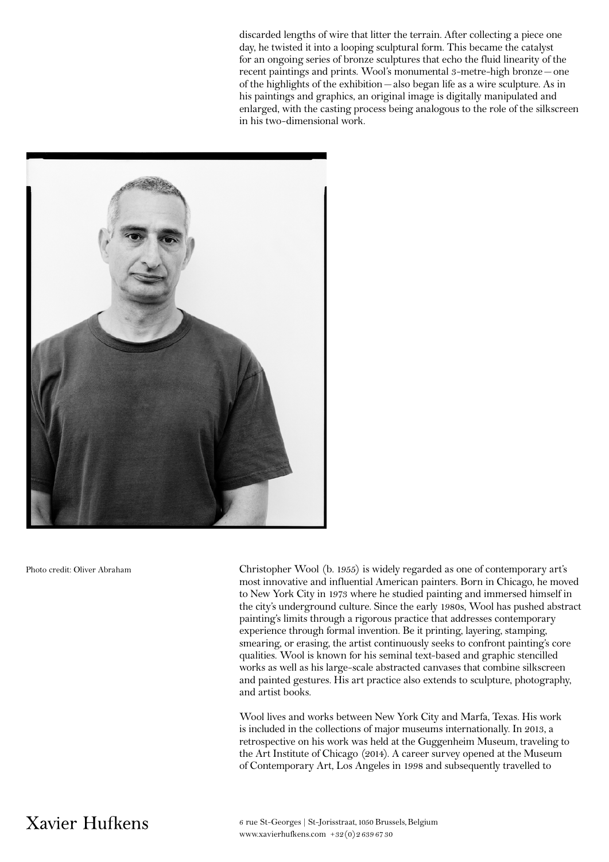discarded lengths of wire that litter the terrain. After collecting a piece one day, he twisted it into a looping sculptural form. This became the catalyst for an ongoing series of bronze sculptures that echo the fluid linearity of the recent paintings and prints. Wool's monumental 3-metre-high bronze–one of the highlights of the exhibition–also began life as a wire sculpture. As in his paintings and graphics, an original image is digitally manipulated and enlarged, with the casting process being analogous to the role of the silkscreen in his two-dimensional work.



Photo credit: Oliver Abraham

Christopher Wool (b. 1955) is widely regarded as one of contemporary art's most innovative and influential American painters. Born in Chicago, he moved to New York City in 1973 where he studied painting and immersed himself in the city's underground culture. Since the early 1980s, Wool has pushed abstract painting's limits through a rigorous practice that addresses contemporary experience through formal invention. Be it printing, layering, stamping, smearing, or erasing, the artist continuously seeks to confront painting's core qualities. Wool is known for his seminal text-based and graphic stencilled works as well as his large-scale abstracted canvases that combine silkscreen and painted gestures. His art practice also extends to sculpture, photography, and artist books.

Wool lives and works between New York City and Marfa, Texas. His work is included in the collections of major museums internationally. In 2013, a retrospective on his work was held at the Guggenheim Museum, traveling to the Art Institute of Chicago (2014). A career survey opened at the Museum of Contemporary Art, Los Angeles in 1998 and subsequently travelled to

## Xavier Hufkens

6 rue St-Georges | St-Jorisstraat, 1050 Brussels, Belgium www.xavierhufkens.com +32(0)2 639 67 30